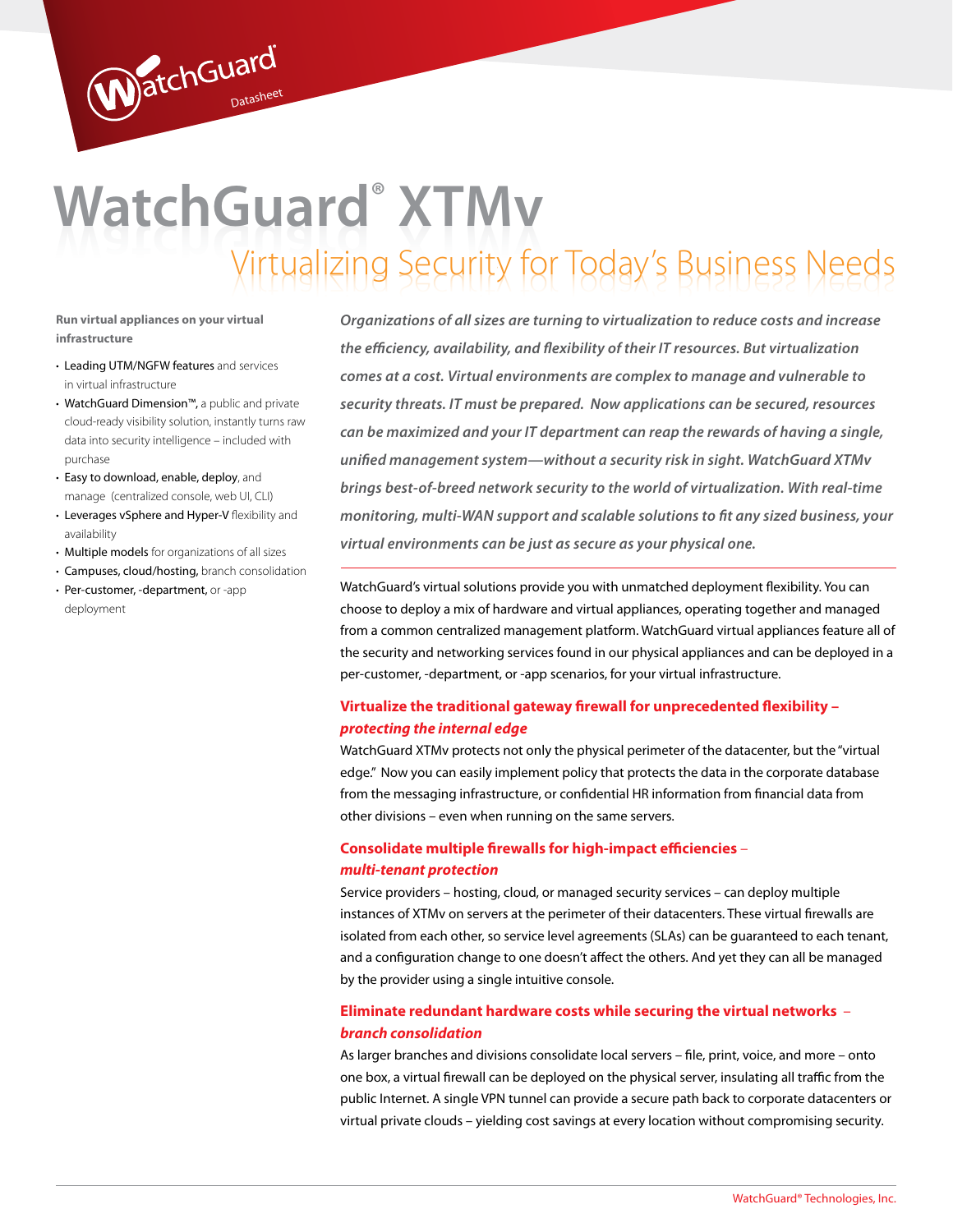# Virtualizing Security for Today's Business Needs Virtualizing Security for Today's Business Needs **XTMv**

**Run virtual appliances on your virtual infrastructure**

- Leading UTM/NGFW features and services in virtual infrastructure
- WatchGuard Dimension™, a public and private cloud-ready visibility solution, instantly turns raw data into security intelligence – included with purchase

WatchGuard

- Easy to download, enable, deploy, and manage (centralized console, web UI, CLI)
- Leverages vSphere and Hyper-V flexibility and availability
- Multiple models for organizations of all sizes
- Campuses, cloud/hosting, branch consolidation
- Per-customer, -department, or -app deployment

*Organizations of all sizes are turning to virtualization to reduce costs and increase the efficiency, availability, and flexibility of their IT resources. But virtualization comes at a cost. Virtual environments are complex to manage and vulnerable to security threats. IT must be prepared. Now applications can be secured, resources can be maximized and your IT department can reap the rewards of having a single, unified management system—without a security risk in sight. WatchGuard XTMv brings best-of-breed network security to the world of virtualization. With real-time monitoring, multi-WAN support and scalable solutions to fit any sized business, your virtual environments can be just as secure as your physical one.*

WatchGuard's virtual solutions provide you with unmatched deployment flexibility. You can choose to deploy a mix of hardware and virtual appliances, operating together and managed from a common centralized management platform. WatchGuard virtual appliances feature all of the security and networking services found in our physical appliances and can be deployed in a per-customer, -department, or -app scenarios, for your virtual infrastructure.

### **Virtualize the traditional gateway firewall for unprecedented flexibility –** *protecting the internal edge*

WatchGuard XTMv protects not only the physical perimeter of the datacenter, but the "virtual edge." Now you can easily implement policy that protects the data in the corporate database from the messaging infrastructure, or confidential HR information from financial data from other divisions – even when running on the same servers.

### **Consolidate multiple firewalls for high-impact efficiencies** – *multi-tenant protection*

Service providers – hosting, cloud, or managed security services – can deploy multiple instances of XTMv on servers at the perimeter of their datacenters. These virtual firewalls are isolated from each other, so service level agreements (SLAs) can be guaranteed to each tenant, and a configuration change to one doesn't affect the others. And yet they can all be managed by the provider using a single intuitive console.

### **Eliminate redundant hardware costs while securing the virtual networks** – *branch consolidation*

As larger branches and divisions consolidate local servers – file, print, voice, and more – onto one box, a virtual firewall can be deployed on the physical server, insulating all traffic from the public Internet. A single VPN tunnel can provide a secure path back to corporate datacenters or virtual private clouds – yielding cost savings at every location without compromising security.